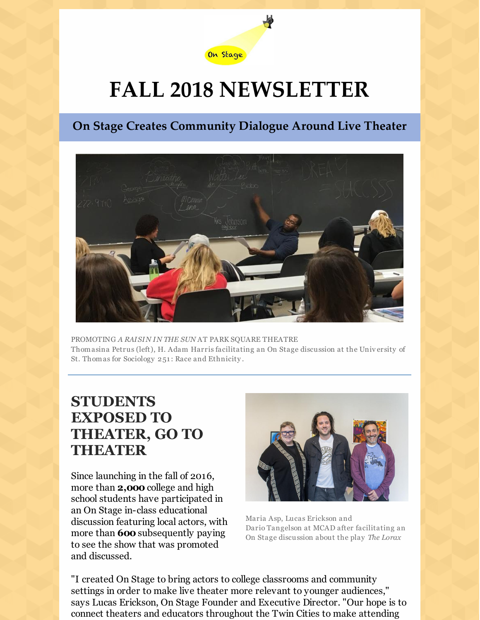

# **FALL 2018 NEWSLETTER**

## **On Stage Creates Community Dialogue Around Live Theater**



PROMOTING *A RAISIN IN THE SUN* AT PARK SQUARE THEATRE Thomasina Petrus (left), H. Adam Harris facilitating an On Stage discussion at the Univ ersity of St. Thomas for Sociology 251 : Race and Ethnicity .

# **STUDENTS EXPOSED TO THEATER, GO TO THEATER**

Since launching in the fall of 2016, more than **2,000** college and high school students have participated in an On Stage in-class educational discussion featuring local actors, with more than **600** subsequently paying to see the show that was promoted and discussed.



Maria Asp, Lucas Erickson and Dario Tangelson at MCAD after facilitating an On Stage discussion about the play *The Lorax*

"I created On Stage to bring actors to college classrooms and community settings in order to make live theater more relevant to younger audiences," says Lucas Erickson, On Stage Founder and Executive Director. "Our hope is to connect theaters and educators throughout the Twin Cities to make attending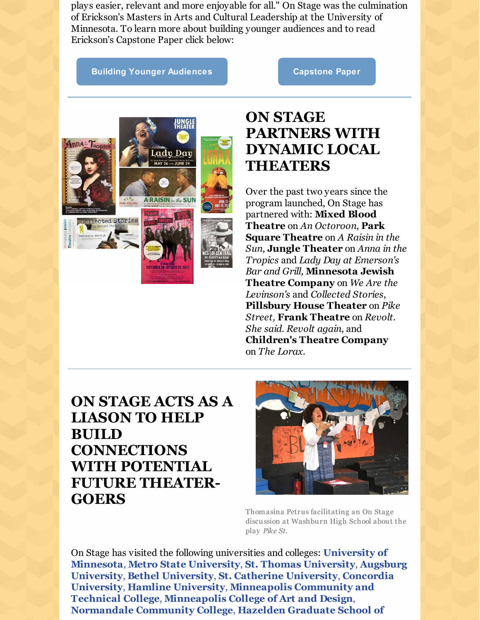plays easier, relevant and more enjoyable for all." On Stage was the culmination of Erickson's Masters in Arts and Cultural Leadership at the University of Minnesota. To learn more about building younger audiences and to read Erickson's Capstone Paper click below:

#### **Building Younger [Audiences](https://www.onstagemn.org/resources) [Capstone](https://conservancy.umn.edu/handle/11299/196778) Paper**



# **ON STAGE PARTNERS WITH DYNAMIC LOCAL THEATERS**

Over the past two years since the program launched, On Stage has partnered with: **Mixed Blood Theatre** on *An Octoroon*, **Park Square Theatre** on *A Raisin in the Sun*, **Jungle Theater** on *Anna in the Tropics* and *Lady Day at Emerson's Bar and Grill,* **Minnesota Jewish Theatre Company** on *We Are the Levinson's* and *Collected Stories*, **Pillsbury House Theater** on *Pike Street,* **Frank Theatre** on *Revolt. She said. Revolt again*, and **Children's Theatre Company** on *The Lorax*.

# **ON STAGE ACTS AS A LIASON TO HELP BUILD CONNECTIONS WITH POTENTIAL FUTURE THEATER-GOERS**



Thomasina Petrus facilitating an On Stage discussion at Washburn High School about the play *Pike St.*

On Stage has visited the following universities and colleges: **University of Minnesota**, **Metro State University**, **St. Thomas University**, **Augsburg University**, **Bethel University**, **St. Catherine University**, **Concordia University**, **Hamline University**, **Minneapolis Community and Technical College**, **Minneapolis College of Art and Design**, **Normandale Community College**, **Hazelden Graduate School of**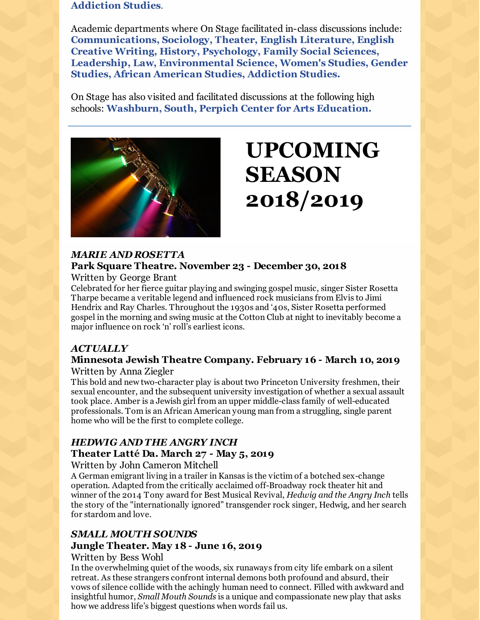### **Addiction Studies**.

Academic departments where On Stage facilitated in-class discussions include: **Communications, Sociology, Theater, English Literature, English Creative Writing, History, Psychology, Family Social Sciences, Leadership, Law, Environmental Science, Women's Studies, Gender Studies, African American Studies, Addiction Studies.**

On Stage has also visited and facilitated discussions at the following high schools: **Washburn, South, Perpich Center for Arts Education.**



# **UPCOMING SEASON 2018/2019**

### *MARIE AND ROSETTA* **Park Square Theatre. November 23 - December 30, 2018**

Written by George Brant

Celebrated for her fierce guitar playing and swinging gospel music, singer Sister Rosetta Tharpe became a veritable legend and influenced rock musicians from Elvis to Jimi Hendrix and Ray Charles. Throughout the 1930s and '40s, Sister Rosetta performed gospel in the morning and swing music at the Cotton Club at night to inevitably become a major influence on rock 'n' roll's earliest icons.

### *ACTUALLY*

### **Minnesota Jewish Theatre Company. February 16 - March 10, 2019** Written by Anna Ziegler

This bold and new two-character play is about two Princeton University freshmen, their sexual encounter, and the subsequent university investigation of whether a sexual assault took place. Amber is a Jewish girl from an upper middle-class family of well-educated professionals. Tom is an African American young man from a struggling, single parent home who will be the first to complete college.

### *HEDWIG AND THE ANGRY INCH* **Theater Latté Da. March 27 - May 5, 2019**

Written by John Cameron Mitchell

A German emigrant living in a trailer in Kansas is the victim of a botched sex-change operation. Adapted from the critically acclaimed off-Broadway rock theater hit and winner of the 2014 Tony award for Best Musical Revival, *Hedwig and the Angry Inch* tells the story of the "internationally ignored" transgender rock singer, Hedwig, and her search for stardom and love.

### *SMALL MOUTH SOUNDS* **Jungle Theater. May 18 - June 16, 2019**

### Written by Bess Wohl

In the overwhelming quiet of the woods, six runaways from city life embark on a silent retreat. As these strangers confront internal demons both profound and absurd, their vows of silence collide with the achingly human need to connect. Filled with awkward and insightful humor, *Small Mouth Sounds* is a unique and compassionate new play that asks how we address life's biggest questions when words fail us.